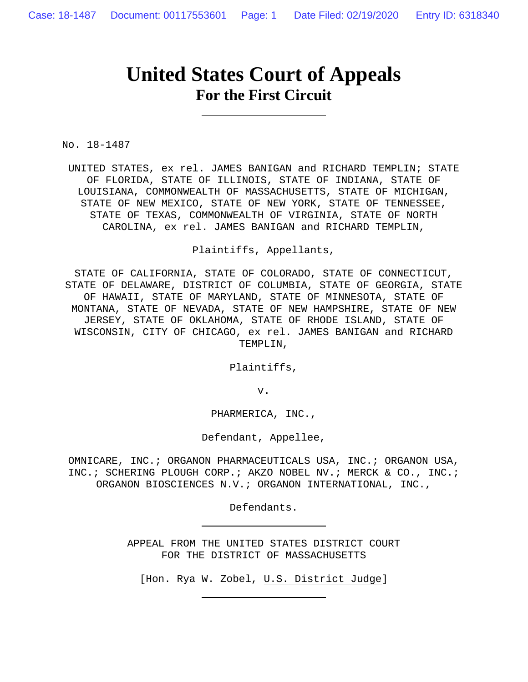# **United States Court of Appeals For the First Circuit**

No. 18-1487

UNITED STATES, ex rel. JAMES BANIGAN and RICHARD TEMPLIN; STATE OF FLORIDA, STATE OF ILLINOIS, STATE OF INDIANA, STATE OF LOUISIANA, COMMONWEALTH OF MASSACHUSETTS, STATE OF MICHIGAN, STATE OF NEW MEXICO, STATE OF NEW YORK, STATE OF TENNESSEE, STATE OF TEXAS, COMMONWEALTH OF VIRGINIA, STATE OF NORTH CAROLINA, ex rel. JAMES BANIGAN and RICHARD TEMPLIN,

Plaintiffs, Appellants,

STATE OF CALIFORNIA, STATE OF COLORADO, STATE OF CONNECTICUT, STATE OF DELAWARE, DISTRICT OF COLUMBIA, STATE OF GEORGIA, STATE OF HAWAII, STATE OF MARYLAND, STATE OF MINNESOTA, STATE OF MONTANA, STATE OF NEVADA, STATE OF NEW HAMPSHIRE, STATE OF NEW JERSEY, STATE OF OKLAHOMA, STATE OF RHODE ISLAND, STATE OF WISCONSIN, CITY OF CHICAGO, ex rel. JAMES BANIGAN and RICHARD TEMPLIN,

Plaintiffs,

v.

PHARMERICA, INC.,

Defendant, Appellee,

OMNICARE, INC.; ORGANON PHARMACEUTICALS USA, INC.; ORGANON USA, INC.; SCHERING PLOUGH CORP.; AKZO NOBEL NV.; MERCK & CO., INC.; ORGANON BIOSCIENCES N.V.; ORGANON INTERNATIONAL, INC.,

Defendants.

APPEAL FROM THE UNITED STATES DISTRICT COURT FOR THE DISTRICT OF MASSACHUSETTS

[Hon. Rya W. Zobel, U.S. District Judge]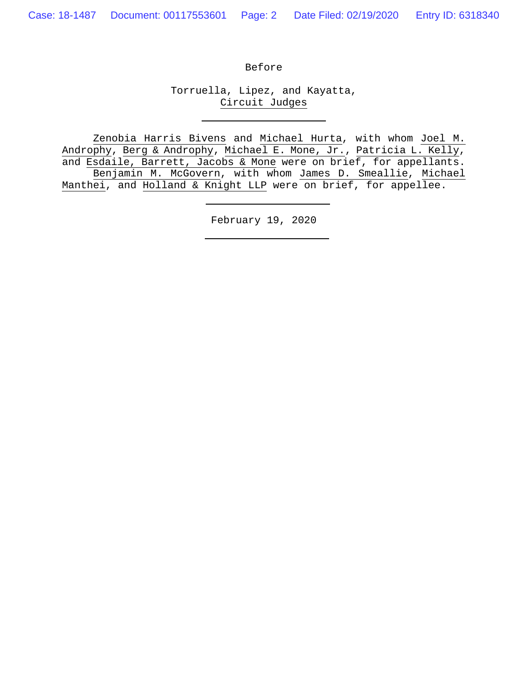Before

Torruella, Lipez, and Kayatta, Circuit Judges

Zenobia Harris Bivens and Michael Hurta, with whom Joel M. Androphy, Berg & Androphy, Michael E. Mone, Jr., Patricia L. Kelly, and Esdaile, Barrett, Jacobs & Mone were on brief, for appellants. Benjamin M. McGovern, with whom James D. Smeallie, Michael Manthei, and Holland & Knight LLP were on brief, for appellee.

February 19, 2020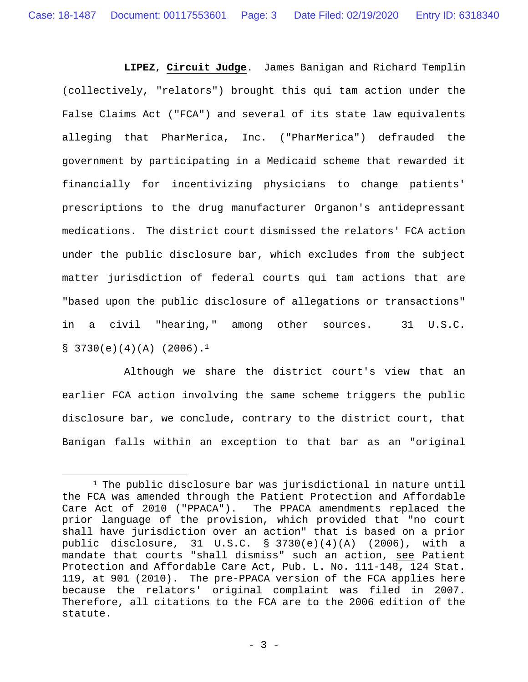**LIPEZ**, **Circuit Judge**. James Banigan and Richard Templin (collectively, "relators") brought this qui tam action under the False Claims Act ("FCA") and several of its state law equivalents alleging that PharMerica, Inc. ("PharMerica") defrauded the government by participating in a Medicaid scheme that rewarded it financially for incentivizing physicians to change patients' prescriptions to the drug manufacturer Organon's antidepressant medications. The district court dismissed the relators' FCA action under the public disclosure bar, which excludes from the subject matter jurisdiction of federal courts qui tam actions that are "based upon the public disclosure of allegations or transactions" in a civil "hearing," among other sources.31 U.S.C.  $$3730(e)(4)(A) (2006).<sup>1</sup>$ 

Although we share the district court's view that an earlier FCA action involving the same scheme triggers the public disclosure bar, we conclude, contrary to the district court, that Banigan falls within an exception to that bar as an "original

<sup>&</sup>lt;sup>1</sup> The public disclosure bar was jurisdictional in nature until the FCA was amended through the Patient Protection and Affordable Care Act of 2010 ("PPACA"). The PPACA amendments replaced the prior language of the provision, which provided that "no court shall have jurisdiction over an action" that is based on a prior public disclosure, 31 U.S.C. § 3730(e)(4)(A) (2006), with a mandate that courts "shall dismiss" such an action, see Patient Protection and Affordable Care Act, Pub. L. No. 111-148, 124 Stat. 119, at 901 (2010). The pre-PPACA version of the FCA applies here because the relators' original complaint was filed in 2007. Therefore, all citations to the FCA are to the 2006 edition of the statute.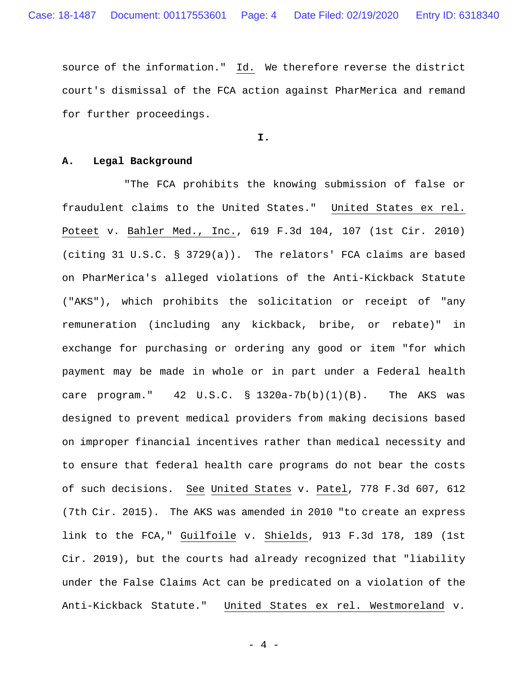source of the information." Id. We therefore reverse the district court's dismissal of the FCA action against PharMerica and remand for further proceedings.

**I.** 

## **A. Legal Background**

"The FCA prohibits the knowing submission of false or fraudulent claims to the United States." United States ex rel. Poteet v. Bahler Med., Inc., 619 F.3d 104, 107 (1st Cir. 2010) (citing 31 U.S.C. § 3729(a)). The relators' FCA claims are based on PharMerica's alleged violations of the Anti-Kickback Statute ("AKS"), which prohibits the solicitation or receipt of "any remuneration (including any kickback, bribe, or rebate)" in exchange for purchasing or ordering any good or item "for which payment may be made in whole or in part under a Federal health care program."  $42 \text{ U.S.C. }$  §  $1320a-7b(b)(1)(B)$ . The AKS was designed to prevent medical providers from making decisions based on improper financial incentives rather than medical necessity and to ensure that federal health care programs do not bear the costs of such decisions. See United States v. Patel, 778 F.3d 607, 612 (7th Cir. 2015). The AKS was amended in 2010 "to create an express link to the FCA," Guilfoile v. Shields, 913 F.3d 178, 189 (1st Cir. 2019), but the courts had already recognized that "liability under the False Claims Act can be predicated on a violation of the Anti-Kickback Statute." United States ex rel. Westmoreland v.

- 4 -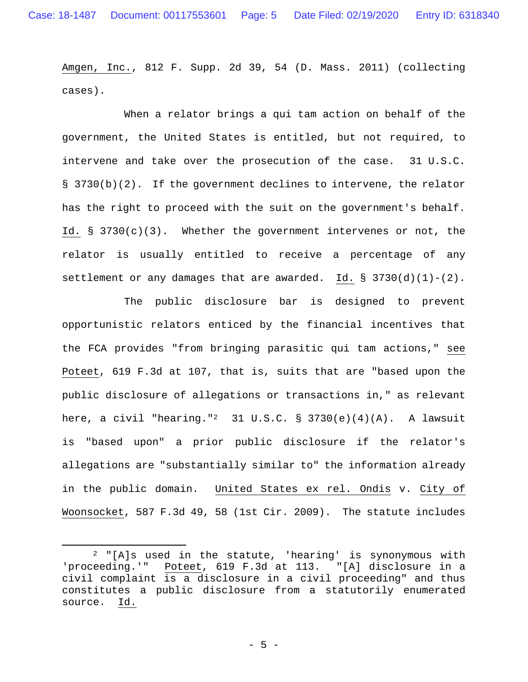Amgen, Inc., 812 F. Supp. 2d 39, 54 (D. Mass. 2011) (collecting cases).

When a relator brings a qui tam action on behalf of the government, the United States is entitled, but not required, to intervene and take over the prosecution of the case. 31 U.S.C. § 3730(b)(2). If the government declines to intervene, the relator has the right to proceed with the suit on the government's behalf. Id.  $\S$  3730(c)(3). Whether the government intervenes or not, the relator is usually entitled to receive a percentage of any settlement or any damages that are awarded. Id.  $\S$  3730(d)(1)-(2).

The public disclosure bar is designed to prevent opportunistic relators enticed by the financial incentives that the FCA provides "from bringing parasitic qui tam actions," see Poteet, 619 F.3d at 107, that is, suits that are "based upon the public disclosure of allegations or transactions in," as relevant here, a civil "hearing."<sup>2</sup> 31 U.S.C. § 3730(e)(4)(A). A lawsuit is "based upon" a prior public disclosure if the relator's allegations are "substantially similar to" the information already in the public domain. United States ex rel. Ondis v. City of Woonsocket, 587 F.3d 49, 58 (1st Cir. 2009). The statute includes

<sup>2 &</sup>quot;[A]s used in the statute, 'hearing' is synonymous with 'proceeding.'" Poteet, 619 F.3d at 113. "[A] disclosure in a civil complaint is a disclosure in a civil proceeding" and thus constitutes a public disclosure from a statutorily enumerated source. Id.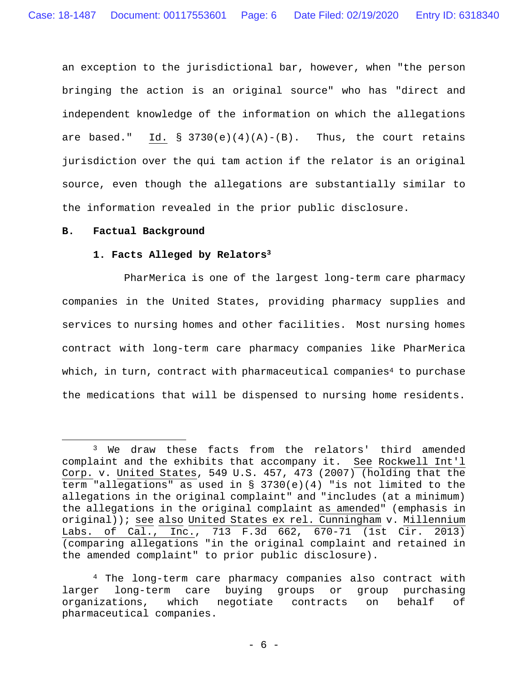an exception to the jurisdictional bar, however, when "the person bringing the action is an original source" who has "direct and independent knowledge of the information on which the allegations are based." Id.  $\S$  3730(e)(4)(A)-(B). Thus, the court retains jurisdiction over the qui tam action if the relator is an original source, even though the allegations are substantially similar to the information revealed in the prior public disclosure.

## **B. Factual Background**

 $\overline{a}$ 

## **1. Facts Alleged by Relators3**

PharMerica is one of the largest long-term care pharmacy companies in the United States, providing pharmacy supplies and services to nursing homes and other facilities. Most nursing homes contract with long-term care pharmacy companies like PharMerica which, in turn, contract with pharmaceutical companies<sup>4</sup> to purchase the medications that will be dispensed to nursing home residents.

<sup>3</sup> We draw these facts from the relators' third amended complaint and the exhibits that accompany it. See Rockwell Int'l Corp. v. United States, 549 U.S. 457, 473 (2007) (holding that the term "allegations" as used in § 3730(e)(4) "is not limited to the allegations in the original complaint" and "includes (at a minimum) the allegations in the original complaint as amended" (emphasis in original)); see also United States ex rel. Cunningham v. Millennium Labs. of Cal., Inc., 713 F.3d 662, 670-71 (1st Cir. 2013) (comparing allegations "in the original complaint and retained in the amended complaint" to prior public disclosure).

<sup>4</sup> The long-term care pharmacy companies also contract with larger long-term care buying groups or group purchasing organizations, which negotiate contracts on behalf of pharmaceutical companies.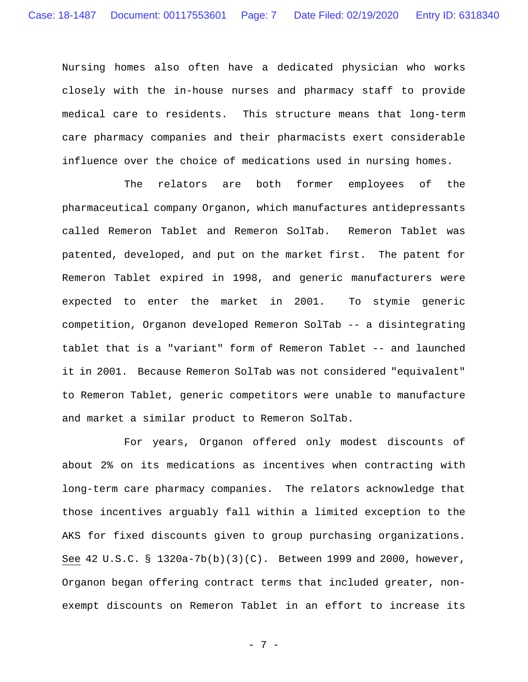Nursing homes also often have a dedicated physician who works closely with the in-house nurses and pharmacy staff to provide medical care to residents. This structure means that long-term care pharmacy companies and their pharmacists exert considerable influence over the choice of medications used in nursing homes.

The relators are both former employees of the pharmaceutical company Organon, which manufactures antidepressants called Remeron Tablet and Remeron SolTab. Remeron Tablet was patented, developed, and put on the market first. The patent for Remeron Tablet expired in 1998, and generic manufacturers were expected to enter the market in 2001. To stymie generic competition, Organon developed Remeron SolTab -- a disintegrating tablet that is a "variant" form of Remeron Tablet -- and launched it in 2001. Because Remeron SolTab was not considered "equivalent" to Remeron Tablet, generic competitors were unable to manufacture and market a similar product to Remeron SolTab.

For years, Organon offered only modest discounts of about 2% on its medications as incentives when contracting with long-term care pharmacy companies. The relators acknowledge that those incentives arguably fall within a limited exception to the AKS for fixed discounts given to group purchasing organizations. See 42 U.S.C. § 1320a-7b(b)(3)(C). Between 1999 and 2000, however, Organon began offering contract terms that included greater, nonexempt discounts on Remeron Tablet in an effort to increase its

- 7 -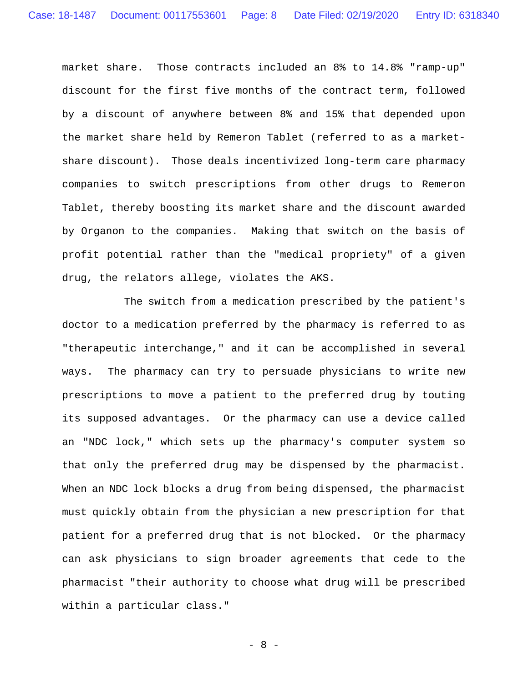market share. Those contracts included an 8% to 14.8% "ramp-up" discount for the first five months of the contract term, followed by a discount of anywhere between 8% and 15% that depended upon the market share held by Remeron Tablet (referred to as a marketshare discount). Those deals incentivized long-term care pharmacy companies to switch prescriptions from other drugs to Remeron Tablet, thereby boosting its market share and the discount awarded by Organon to the companies. Making that switch on the basis of profit potential rather than the "medical propriety" of a given drug, the relators allege, violates the AKS.

The switch from a medication prescribed by the patient's doctor to a medication preferred by the pharmacy is referred to as "therapeutic interchange," and it can be accomplished in several ways. The pharmacy can try to persuade physicians to write new prescriptions to move a patient to the preferred drug by touting its supposed advantages. Or the pharmacy can use a device called an "NDC lock," which sets up the pharmacy's computer system so that only the preferred drug may be dispensed by the pharmacist. When an NDC lock blocks a drug from being dispensed, the pharmacist must quickly obtain from the physician a new prescription for that patient for a preferred drug that is not blocked. Or the pharmacy can ask physicians to sign broader agreements that cede to the pharmacist "their authority to choose what drug will be prescribed within a particular class."

- 8 -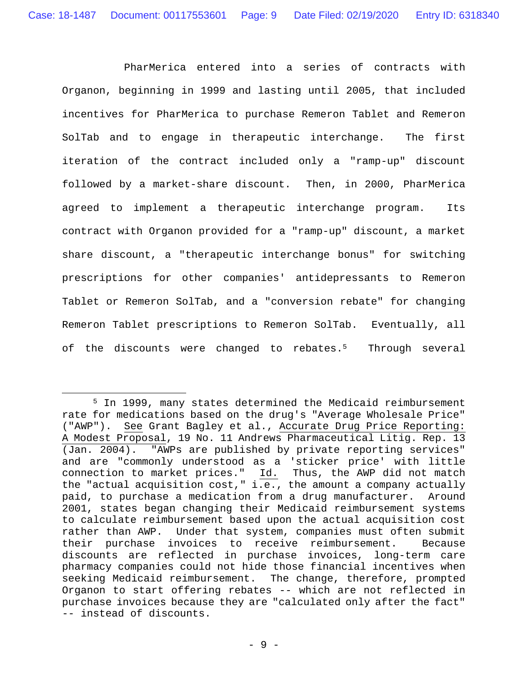PharMerica entered into a series of contracts with Organon, beginning in 1999 and lasting until 2005, that included incentives for PharMerica to purchase Remeron Tablet and Remeron SolTab and to engage in therapeutic interchange.The first iteration of the contract included only a "ramp-up" discount followed by a market-share discount. Then, in 2000, PharMerica agreed to implement a therapeutic interchange program. Its contract with Organon provided for a "ramp-up" discount, a market share discount, a "therapeutic interchange bonus" for switching prescriptions for other companies' antidepressants to Remeron Tablet or Remeron SolTab, and a "conversion rebate" for changing Remeron Tablet prescriptions to Remeron SolTab. Eventually, all of the discounts were changed to rebates.<sup>5</sup> Through several

<sup>5</sup> In 1999, many states determined the Medicaid reimbursement rate for medications based on the drug's "Average Wholesale Price" ("AWP"). See Grant Bagley et al., Accurate Drug Price Reporting: A Modest Proposal, 19 No. 11 Andrews Pharmaceutical Litig. Rep. 13 (Jan. 2004). "AWPs are published by private reporting services" and are "commonly understood as a 'sticker price' with little connection to market prices." Id. Thus, the AWP did not match the "actual acquisition cost," i.e., the amount a company actually paid, to purchase a medication from a drug manufacturer. Around 2001, states began changing their Medicaid reimbursement systems to calculate reimbursement based upon the actual acquisition cost rather than AWP.Under that system, companies must often submit their purchase invoices to receive reimbursement.Because discounts are reflected in purchase invoices, long-term care pharmacy companies could not hide those financial incentives when seeking Medicaid reimbursement.The change, therefore, prompted Organon to start offering rebates -- which are not reflected in purchase invoices because they are "calculated only after the fact" -- instead of discounts.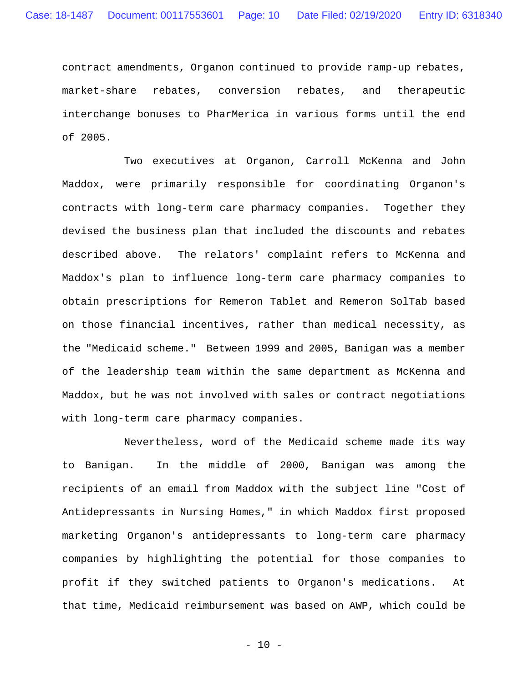contract amendments, Organon continued to provide ramp-up rebates, market-share rebates, conversion rebates, and therapeutic interchange bonuses to PharMerica in various forms until the end of 2005.

Two executives at Organon, Carroll McKenna and John Maddox, were primarily responsible for coordinating Organon's contracts with long-term care pharmacy companies. Together they devised the business plan that included the discounts and rebates described above. The relators' complaint refers to McKenna and Maddox's plan to influence long-term care pharmacy companies to obtain prescriptions for Remeron Tablet and Remeron SolTab based on those financial incentives, rather than medical necessity, as the "Medicaid scheme." Between 1999 and 2005, Banigan was a member of the leadership team within the same department as McKenna and Maddox, but he was not involved with sales or contract negotiations with long-term care pharmacy companies.

Nevertheless, word of the Medicaid scheme made its way to Banigan. In the middle of 2000, Banigan was among the recipients of an email from Maddox with the subject line "Cost of Antidepressants in Nursing Homes," in which Maddox first proposed marketing Organon's antidepressants to long-term care pharmacy companies by highlighting the potential for those companies to profit if they switched patients to Organon's medications. At that time, Medicaid reimbursement was based on AWP, which could be

- 10 -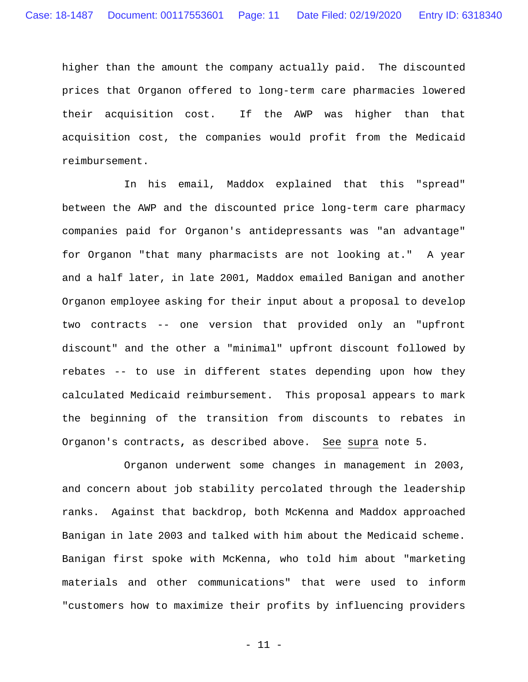higher than the amount the company actually paid. The discounted prices that Organon offered to long-term care pharmacies lowered their acquisition cost. If the AWP was higher than that acquisition cost, the companies would profit from the Medicaid reimbursement.

In his email, Maddox explained that this "spread" between the AWP and the discounted price long-term care pharmacy companies paid for Organon's antidepressants was "an advantage" for Organon "that many pharmacists are not looking at."A year and a half later, in late 2001, Maddox emailed Banigan and another Organon employee asking for their input about a proposal to develop two contracts -- one version that provided only an "upfront discount" and the other a "minimal" upfront discount followed by rebates -- to use in different states depending upon how they calculated Medicaid reimbursement. This proposal appears to mark the beginning of the transition from discounts to rebates in Organon's contracts**,** as described above. See supra note 5.

Organon underwent some changes in management in 2003, and concern about job stability percolated through the leadership ranks. Against that backdrop, both McKenna and Maddox approached Banigan in late 2003 and talked with him about the Medicaid scheme. Banigan first spoke with McKenna, who told him about "marketing materials and other communications" that were used to inform "customers how to maximize their profits by influencing providers

- 11 -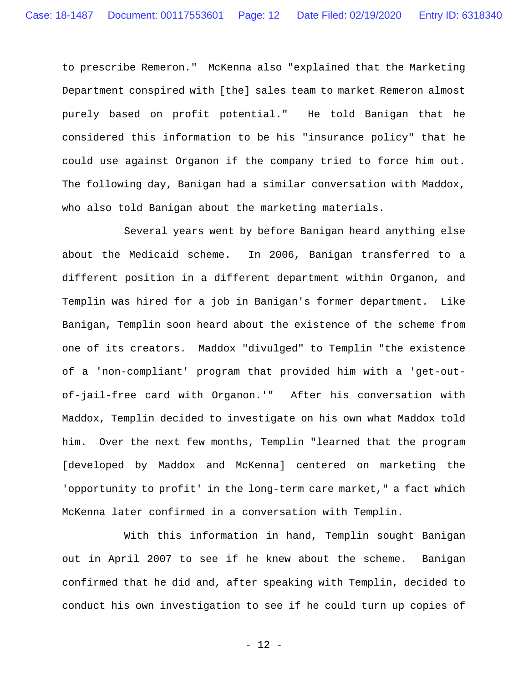to prescribe Remeron." McKenna also "explained that the Marketing Department conspired with [the] sales team to market Remeron almost purely based on profit potential." He told Banigan that he considered this information to be his "insurance policy" that he could use against Organon if the company tried to force him out. The following day, Banigan had a similar conversation with Maddox, who also told Banigan about the marketing materials.

Several years went by before Banigan heard anything else about the Medicaid scheme. In 2006, Banigan transferred to a different position in a different department within Organon, and Templin was hired for a job in Banigan's former department. Like Banigan, Templin soon heard about the existence of the scheme from one of its creators. Maddox "divulged" to Templin "the existence of a 'non-compliant' program that provided him with a 'get-outof-jail-free card with Organon.'" After his conversation with Maddox, Templin decided to investigate on his own what Maddox told him. Over the next few months, Templin "learned that the program [developed by Maddox and McKenna] centered on marketing the 'opportunity to profit' in the long-term care market," a fact which McKenna later confirmed in a conversation with Templin.

With this information in hand, Templin sought Banigan out in April 2007 to see if he knew about the scheme. Banigan confirmed that he did and, after speaking with Templin, decided to conduct his own investigation to see if he could turn up copies of

- 12 -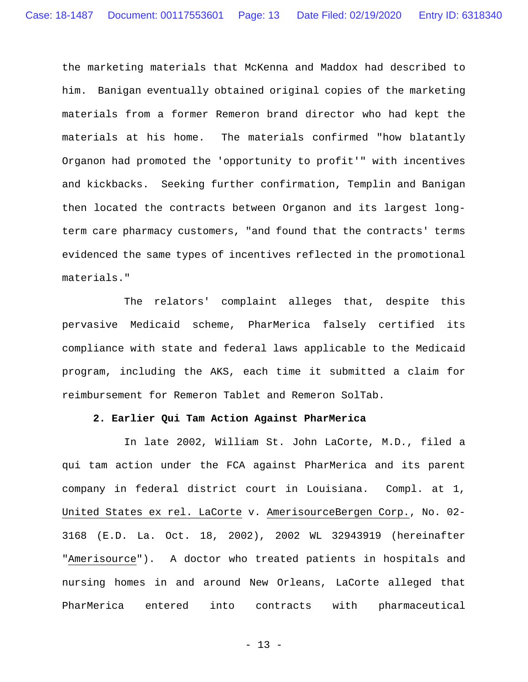the marketing materials that McKenna and Maddox had described to him. Banigan eventually obtained original copies of the marketing materials from a former Remeron brand director who had kept the materials at his home. The materials confirmed "how blatantly Organon had promoted the 'opportunity to profit'" with incentives and kickbacks. Seeking further confirmation, Templin and Banigan then located the contracts between Organon and its largest longterm care pharmacy customers, "and found that the contracts' terms evidenced the same types of incentives reflected in the promotional materials."

The relators' complaint alleges that, despite this pervasive Medicaid scheme, PharMerica falsely certified its compliance with state and federal laws applicable to the Medicaid program, including the AKS, each time it submitted a claim for reimbursement for Remeron Tablet and Remeron SolTab.

## **2. Earlier Qui Tam Action Against PharMerica**

In late 2002, William St. John LaCorte, M.D., filed a qui tam action under the FCA against PharMerica and its parent company in federal district court in Louisiana. Compl. at 1, United States ex rel. LaCorte v. AmerisourceBergen Corp., No. 02- 3168 (E.D. La. Oct. 18, 2002), 2002 WL 32943919 (hereinafter "Amerisource"). A doctor who treated patients in hospitals and nursing homes in and around New Orleans, LaCorte alleged that PharMerica entered into contracts with pharmaceutical

- 13 -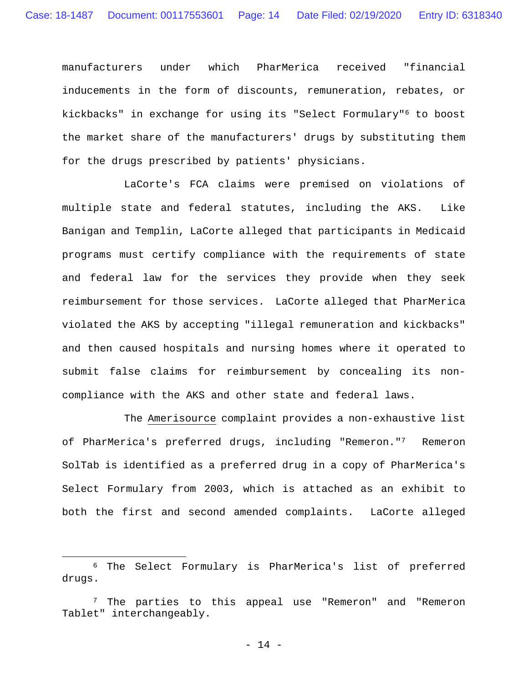manufacturers under which PharMerica received "financial inducements in the form of discounts, remuneration, rebates, or kickbacks" in exchange for using its "Select Formulary"6 to boost the market share of the manufacturers' drugs by substituting them for the drugs prescribed by patients' physicians.

LaCorte's FCA claims were premised on violations of multiple state and federal statutes, including the AKS. Like Banigan and Templin, LaCorte alleged that participants in Medicaid programs must certify compliance with the requirements of state and federal law for the services they provide when they seek reimbursement for those services.LaCorte alleged that PharMerica violated the AKS by accepting "illegal remuneration and kickbacks" and then caused hospitals and nursing homes where it operated to submit false claims for reimbursement by concealing its noncompliance with the AKS and other state and federal laws.

The Amerisource complaint provides a non-exhaustive list of PharMerica's preferred drugs, including "Remeron."7 Remeron SolTab is identified as a preferred drug in a copy of PharMerica's Select Formulary from 2003, which is attached as an exhibit to both the first and second amended complaints. LaCorte alleged

<u>.</u>

<sup>6</sup> The Select Formulary is PharMerica's list of preferred drugs.

<sup>7</sup> The parties to this appeal use "Remeron" and "Remeron Tablet" interchangeably.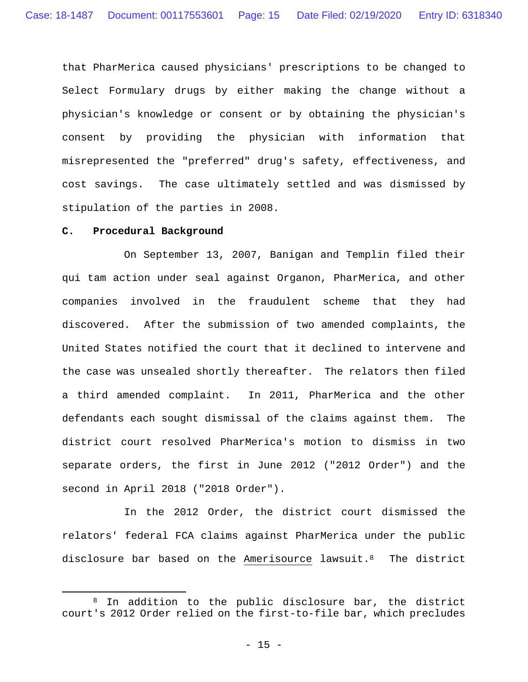that PharMerica caused physicians' prescriptions to be changed to Select Formulary drugs by either making the change without a physician's knowledge or consent or by obtaining the physician's consent by providing the physician with information that misrepresented the "preferred" drug's safety, effectiveness, and cost savings.The case ultimately settled and was dismissed by stipulation of the parties in 2008.

#### **C. Procedural Background**

 $\overline{a}$ 

On September 13, 2007, Banigan and Templin filed their qui tam action under seal against Organon, PharMerica, and other companies involved in the fraudulent scheme that they had discovered. After the submission of two amended complaints, the United States notified the court that it declined to intervene and the case was unsealed shortly thereafter. The relators then filed a third amended complaint. In 2011, PharMerica and the other defendants each sought dismissal of the claims against them. The district court resolved PharMerica's motion to dismiss in two separate orders, the first in June 2012 ("2012 Order") and the second in April 2018 ("2018 Order").

In the 2012 Order, the district court dismissed the relators' federal FCA claims against PharMerica under the public disclosure bar based on the Amerisource lawsuit.8 The district

<sup>&</sup>lt;sup>8</sup> In addition to the public disclosure bar, the district court's 2012 Order relied on the first-to-file bar, which precludes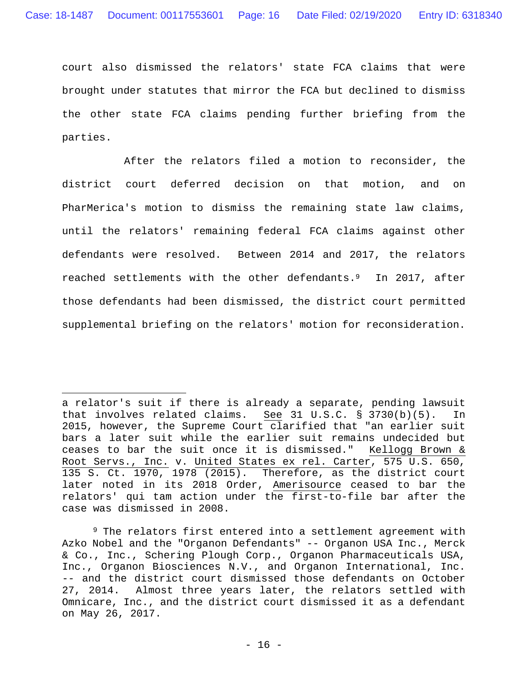court also dismissed the relators' state FCA claims that were brought under statutes that mirror the FCA but declined to dismiss the other state FCA claims pending further briefing from the parties.

After the relators filed a motion to reconsider, the district court deferred decision on that motion, and on PharMerica's motion to dismiss the remaining state law claims, until the relators' remaining federal FCA claims against other defendants were resolved. Between 2014 and 2017, the relators reached settlements with the other defendants.9 In 2017, after those defendants had been dismissed, the district court permitted supplemental briefing on the relators' motion for reconsideration.

a relator's suit if there is already a separate, pending lawsuit that involves related claims. See 31 U.S.C. § 3730(b)(5). In 2015, however, the Supreme Court clarified that "an earlier suit bars a later suit while the earlier suit remains undecided but ceases to bar the suit once it is dismissed." Kellogg Brown & Root Servs., Inc. v. United States ex rel. Carter, 575 U.S. 650, 135 S. Ct. 1970, 1978 (2015). Therefore, as the district court later noted in its 2018 Order, Amerisource ceased to bar the relators' qui tam action under the first-to-file bar after the case was dismissed in 2008.

<sup>9</sup> The relators first entered into a settlement agreement with Azko Nobel and the "Organon Defendants" -- Organon USA Inc., Merck & Co., Inc., Schering Plough Corp., Organon Pharmaceuticals USA, Inc., Organon Biosciences N.V., and Organon International, Inc. -- and the district court dismissed those defendants on October 27, 2014.Almost three years later, the relators settled with Omnicare, Inc., and the district court dismissed it as a defendant on May 26, 2017.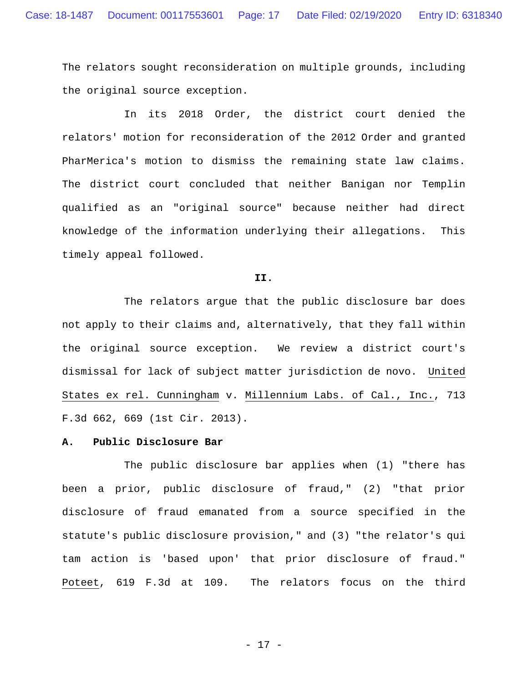The relators sought reconsideration on multiple grounds, including the original source exception.

In its 2018 Order, the district court denied the relators' motion for reconsideration of the 2012 Order and granted PharMerica's motion to dismiss the remaining state law claims. The district court concluded that neither Banigan nor Templin qualified as an "original source" because neither had direct knowledge of the information underlying their allegations. This timely appeal followed.

#### **II.**

The relators argue that the public disclosure bar does not apply to their claims and, alternatively, that they fall within the original source exception. We review a district court's dismissal for lack of subject matter jurisdiction de novo. United States ex rel. Cunningham v. Millennium Labs. of Cal., Inc., 713 F.3d 662, 669 (1st Cir. 2013).

## **A. Public Disclosure Bar**

The public disclosure bar applies when (1) "there has been a prior, public disclosure of fraud," (2) "that prior disclosure of fraud emanated from a source specified in the statute's public disclosure provision," and (3) "the relator's qui tam action is 'based upon' that prior disclosure of fraud." Poteet, 619 F.3d at 109. The relators focus on the third

- 17 -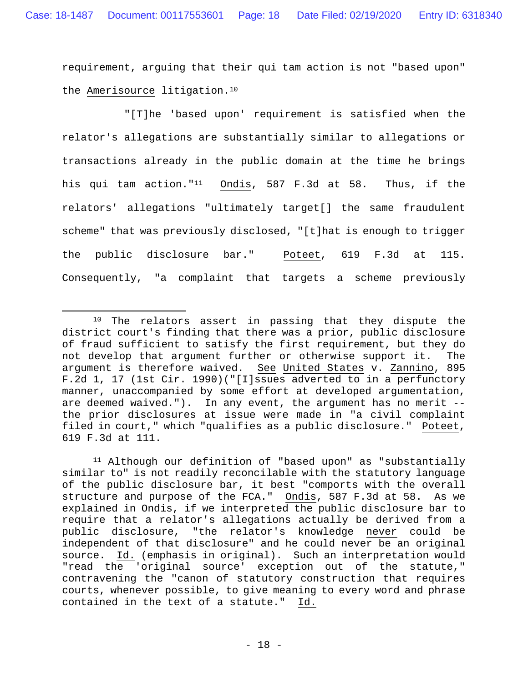requirement, arguing that their qui tam action is not "based upon" the Amerisource litigation.10

"[T]he 'based upon' requirement is satisfied when the relator's allegations are substantially similar to allegations or transactions already in the public domain at the time he brings his qui tam action."11 Ondis, 587 F.3d at 58. Thus, if the relators' allegations "ultimately target[] the same fraudulent scheme" that was previously disclosed, "[t]hat is enough to trigger the public disclosure bar." Poteet, 619 F.3d at 115. Consequently, "a complaint that targets a scheme previously

<sup>&</sup>lt;sup>10</sup> The relators assert in passing that they dispute the district court's finding that there was a prior, public disclosure of fraud sufficient to satisfy the first requirement, but they do not develop that argument further or otherwise support it. The argument is therefore waived. See United States v. Zannino, 895 F.2d 1, 17 (1st Cir. 1990)("[I]ssues adverted to in a perfunctory manner, unaccompanied by some effort at developed argumentation, are deemed waived."). In any event, the argument has no merit - the prior disclosures at issue were made in "a civil complaint filed in court," which "qualifies as a public disclosure." Poteet, 619 F.3d at 111.

<sup>11</sup> Although our definition of "based upon" as "substantially similar to" is not readily reconcilable with the statutory language of the public disclosure bar, it best "comports with the overall structure and purpose of the FCA." Ondis, 587 F.3d at 58. As we explained in Ondis, if we interpreted the public disclosure bar to require that a relator's allegations actually be derived from a public disclosure, "the relator's knowledge never could be independent of that disclosure" and he could never be an original source. Id. (emphasis in original). Such an interpretation would "read the 'original source' exception out of the statute," contravening the "canon of statutory construction that requires courts, whenever possible, to give meaning to every word and phrase contained in the text of a statute." Id.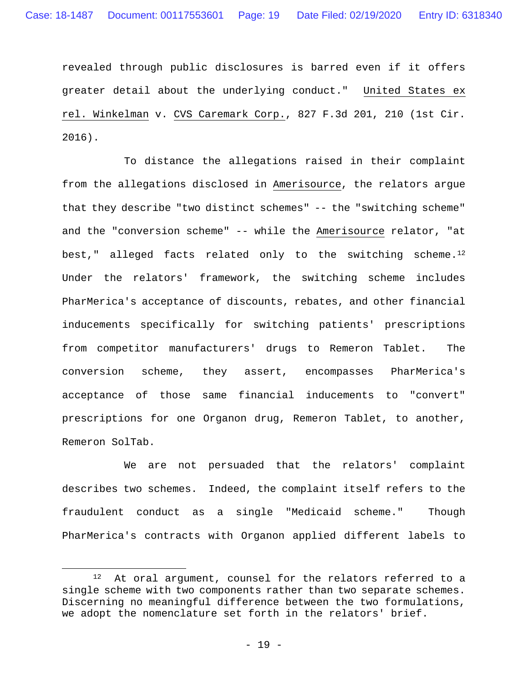revealed through public disclosures is barred even if it offers greater detail about the underlying conduct." United States ex rel. Winkelman v. CVS Caremark Corp., 827 F.3d 201, 210 (1st Cir. 2016).

To distance the allegations raised in their complaint from the allegations disclosed in Amerisource, the relators argue that they describe "two distinct schemes" -- the "switching scheme" and the "conversion scheme" -- while the Amerisource relator, "at best," alleged facts related only to the switching scheme.<sup>12</sup> Under the relators' framework, the switching scheme includes PharMerica's acceptance of discounts, rebates, and other financial inducements specifically for switching patients' prescriptions from competitor manufacturers' drugs to Remeron Tablet. The conversion scheme, they assert, encompasses PharMerica's acceptance of those same financial inducements to "convert" prescriptions for one Organon drug, Remeron Tablet, to another, Remeron SolTab.

We are not persuaded that the relators' complaint describes two schemes. Indeed, the complaint itself refers to the fraudulent conduct as a single "Medicaid scheme." Though PharMerica's contracts with Organon applied different labels to

1

<sup>12</sup> At oral argument, counsel for the relators referred to a single scheme with two components rather than two separate schemes. Discerning no meaningful difference between the two formulations, we adopt the nomenclature set forth in the relators' brief.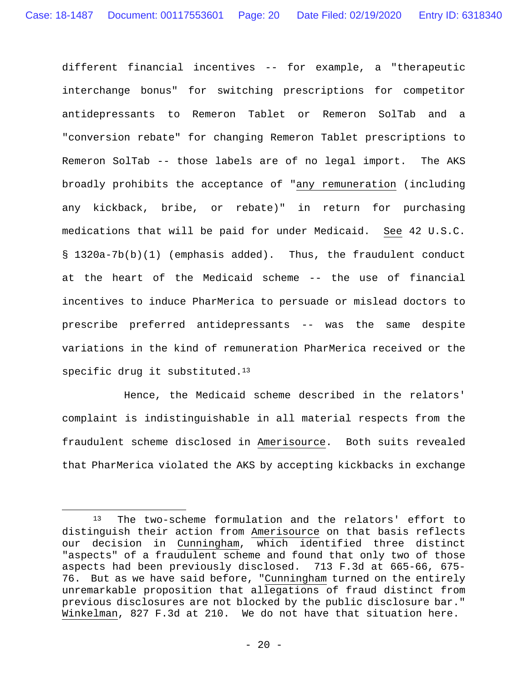different financial incentives -- for example, a "therapeutic interchange bonus" for switching prescriptions for competitor antidepressants to Remeron Tablet or Remeron SolTab and a "conversion rebate" for changing Remeron Tablet prescriptions to Remeron SolTab -- those labels are of no legal import.The AKS broadly prohibits the acceptance of "any remuneration (including any kickback, bribe, or rebate)" in return for purchasing medications that will be paid for under Medicaid. See 42 U.S.C. § 1320a-7b(b)(1) (emphasis added). Thus, the fraudulent conduct at the heart of the Medicaid scheme -- the use of financial incentives to induce PharMerica to persuade or mislead doctors to prescribe preferred antidepressants -- was the same despite variations in the kind of remuneration PharMerica received or the specific drug it substituted.<sup>13</sup>

Hence, the Medicaid scheme described in the relators' complaint is indistinguishable in all material respects from the fraudulent scheme disclosed in Amerisource. Both suits revealed that PharMerica violated the AKS by accepting kickbacks in exchange

<sup>13</sup> The two-scheme formulation and the relators' effort to distinguish their action from Amerisource on that basis reflects our decision in Cunningham, which identified three distinct "aspects" of a fraudulent scheme and found that only two of those aspects had been previously disclosed. 713 F.3d at 665-66, 675- 76. But as we have said before, "Cunningham turned on the entirely unremarkable proposition that allegations of fraud distinct from previous disclosures are not blocked by the public disclosure bar." Winkelman, 827 F.3d at 210. We do not have that situation here.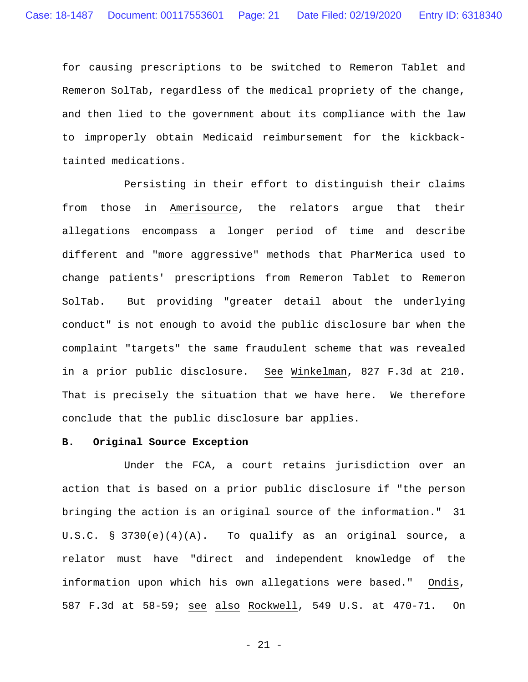for causing prescriptions to be switched to Remeron Tablet and Remeron SolTab, regardless of the medical propriety of the change, and then lied to the government about its compliance with the law to improperly obtain Medicaid reimbursement for the kickbacktainted medications.

Persisting in their effort to distinguish their claims from those in Amerisource, the relators argue that their allegations encompass a longer period of time and describe different and "more aggressive" methods that PharMerica used to change patients' prescriptions from Remeron Tablet to Remeron SolTab. But providing "greater detail about the underlying conduct" is not enough to avoid the public disclosure bar when the complaint "targets" the same fraudulent scheme that was revealed in a prior public disclosure. See Winkelman, 827 F.3d at 210. That is precisely the situation that we have here. We therefore conclude that the public disclosure bar applies.

## **B. Original Source Exception**

Under the FCA, a court retains jurisdiction over an action that is based on a prior public disclosure if "the person bringing the action is an original source of the information." 31 U.S.C. § 3730(e)(4)(A). To qualify as an original source, a relator must have "direct and independent knowledge of the information upon which his own allegations were based." Ondis, 587 F.3d at 58-59; see also Rockwell, 549 U.S. at 470-71. On

- 21 -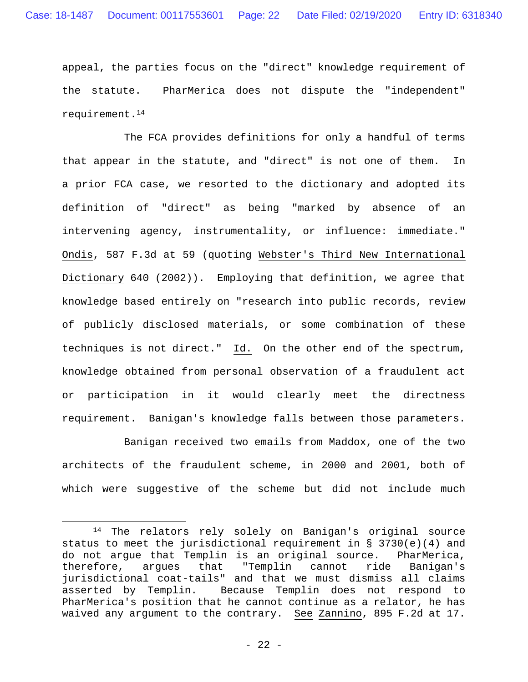appeal, the parties focus on the "direct" knowledge requirement of the statute. PharMerica does not dispute the "independent" requirement.14

The FCA provides definitions for only a handful of terms that appear in the statute, and "direct" is not one of them. In a prior FCA case, we resorted to the dictionary and adopted its definition of "direct" as being "marked by absence of an intervening agency, instrumentality, or influence: immediate." Ondis, 587 F.3d at 59 (quoting Webster's Third New International Dictionary 640 (2002)). Employing that definition, we agree that knowledge based entirely on "research into public records, review of publicly disclosed materials, or some combination of these techniques is not direct." Id. On the other end of the spectrum, knowledge obtained from personal observation of a fraudulent act or participation in it would clearly meet the directness requirement. Banigan's knowledge falls between those parameters.

Banigan received two emails from Maddox, one of the two architects of the fraudulent scheme, in 2000 and 2001, both of which were suggestive of the scheme but did not include much

<sup>14</sup> The relators rely solely on Banigan's original source status to meet the jurisdictional requirement in  $\S$  3730(e)(4) and do not argue that Templin is an original source.PharMerica, therefore, argues that "Templin cannot ride Banigan's jurisdictional coat-tails" and that we must dismiss all claims asserted by Templin. Because Templin does not respond to PharMerica's position that he cannot continue as a relator, he has waived any argument to the contrary. See Zannino, 895 F.2d at 17.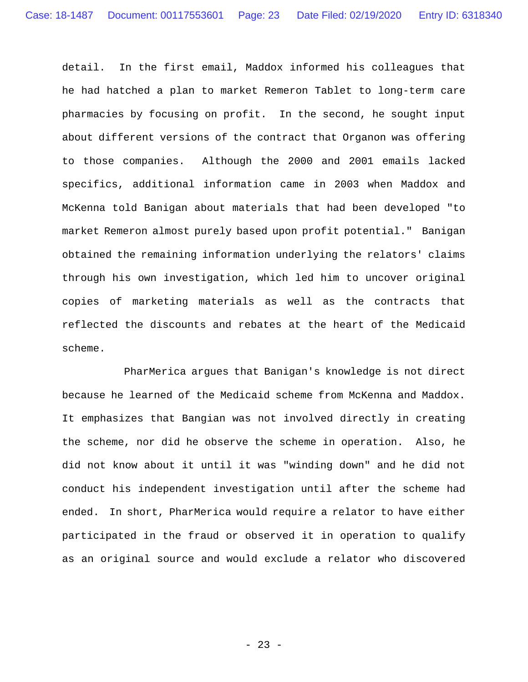detail. In the first email, Maddox informed his colleagues that he had hatched a plan to market Remeron Tablet to long-term care pharmacies by focusing on profit. In the second, he sought input about different versions of the contract that Organon was offering to those companies. Although the 2000 and 2001 emails lacked specifics, additional information came in 2003 when Maddox and McKenna told Banigan about materials that had been developed "to market Remeron almost purely based upon profit potential." Banigan obtained the remaining information underlying the relators' claims through his own investigation, which led him to uncover original copies of marketing materials as well as the contracts that reflected the discounts and rebates at the heart of the Medicaid scheme.

PharMerica argues that Banigan's knowledge is not direct because he learned of the Medicaid scheme from McKenna and Maddox. It emphasizes that Bangian was not involved directly in creating the scheme, nor did he observe the scheme in operation. Also, he did not know about it until it was "winding down" and he did not conduct his independent investigation until after the scheme had ended. In short, PharMerica would require a relator to have either participated in the fraud or observed it in operation to qualify as an original source and would exclude a relator who discovered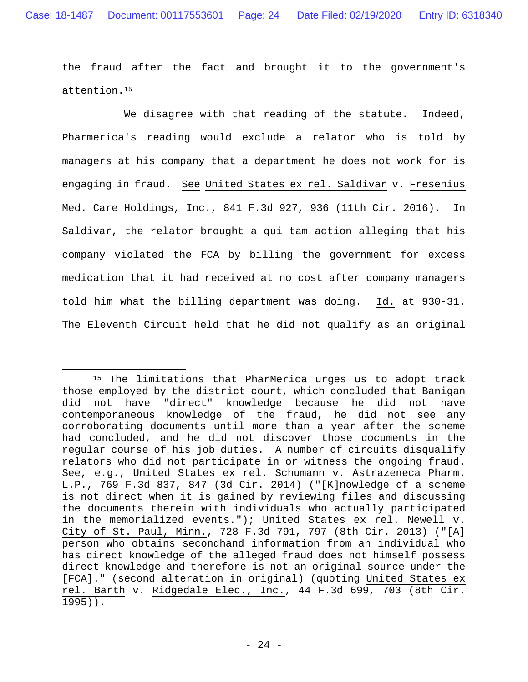the fraud after the fact and brought it to the government's attention.15

We disagree with that reading of the statute. Indeed, Pharmerica's reading would exclude a relator who is told by managers at his company that a department he does not work for is engaging in fraud. See United States ex rel. Saldivar v. Fresenius Med. Care Holdings, Inc., 841 F.3d 927, 936 (11th Cir. 2016). In Saldivar, the relator brought a qui tam action alleging that his company violated the FCA by billing the government for excess medication that it had received at no cost after company managers told him what the billing department was doing. Id. at 930-31. The Eleventh Circuit held that he did not qualify as an original

<sup>15</sup> The limitations that PharMerica urges us to adopt track those employed by the district court, which concluded that Banigan did not have "direct" knowledge because he did not have contemporaneous knowledge of the fraud, he did not see any corroborating documents until more than a year after the scheme had concluded, and he did not discover those documents in the regular course of his job duties. A number of circuits disqualify relators who did not participate in or witness the ongoing fraud. See, e.g., United States ex rel. Schumann v. Astrazeneca Pharm. L.P., 769 F.3d 837, 847 (3d Cir. 2014) ("[K]nowledge of a scheme is not direct when it is gained by reviewing files and discussing the documents therein with individuals who actually participated in the memorialized events."); United States ex rel. Newell v. City of St. Paul, Minn., 728 F.3d 791, 797 (8th Cir. 2013) ("[A] person who obtains secondhand information from an individual who has direct knowledge of the alleged fraud does not himself possess direct knowledge and therefore is not an original source under the [FCA]." (second alteration in original) (quoting United States ex rel. Barth v. Ridgedale Elec., Inc., 44 F.3d 699, 703 (8th Cir. 1995)).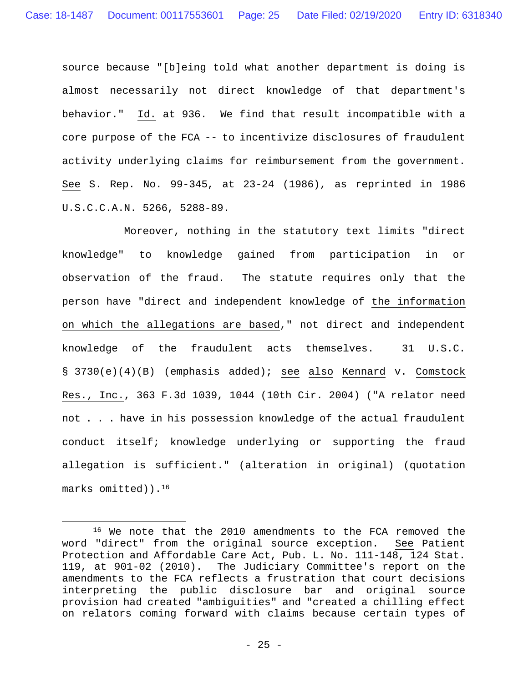source because "[b]eing told what another department is doing is almost necessarily not direct knowledge of that department's behavior." Id. at 936. We find that result incompatible with a core purpose of the FCA -- to incentivize disclosures of fraudulent activity underlying claims for reimbursement from the government. See S. Rep. No. 99-345, at 23-24 (1986), as reprinted in 1986 U.S.C.C.A.N. 5266, 5288-89.

Moreover, nothing in the statutory text limits "direct knowledge" to knowledge gained from participation in or observation of the fraud. The statute requires only that the person have "direct and independent knowledge of the information on which the allegations are based," not direct and independent knowledge of the fraudulent acts themselves. 31 U.S.C. § 3730(e)(4)(B) (emphasis added); see also Kennard v. Comstock Res., Inc., 363 F.3d 1039, 1044 (10th Cir. 2004) ("A relator need not . . . have in his possession knowledge of the actual fraudulent conduct itself; knowledge underlying or supporting the fraud allegation is sufficient." (alteration in original) (quotation marks omitted)).16

<sup>16</sup> We note that the 2010 amendments to the FCA removed the word "direct" from the original source exception. See Patient Protection and Affordable Care Act, Pub. L. No. 111-148, 124 Stat. 119, at 901-02 (2010). The Judiciary Committee's report on the amendments to the FCA reflects a frustration that court decisions interpreting the public disclosure bar and original source provision had created "ambiguities" and "created a chilling effect on relators coming forward with claims because certain types of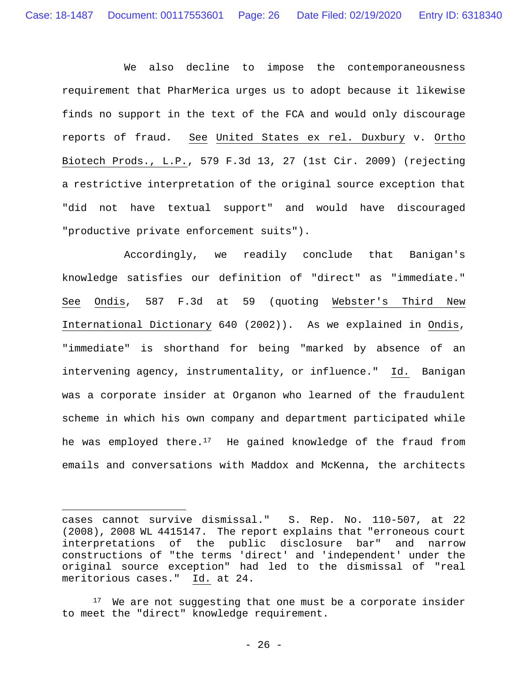We also decline to impose the contemporaneousness requirement that PharMerica urges us to adopt because it likewise finds no support in the text of the FCA and would only discourage reports of fraud. See United States ex rel. Duxbury v. Ortho Biotech Prods., L.P., 579 F.3d 13, 27 (1st Cir. 2009) (rejecting a restrictive interpretation of the original source exception that "did not have textual support" and would have discouraged "productive private enforcement suits").

Accordingly, we readily conclude that Banigan's knowledge satisfies our definition of "direct" as "immediate." See Ondis, 587 F.3d at 59 (quoting Webster's Third New International Dictionary 640 (2002)). As we explained in Ondis, "immediate" is shorthand for being "marked by absence of an intervening agency, instrumentality, or influence." Id. Banigan was a corporate insider at Organon who learned of the fraudulent scheme in which his own company and department participated while he was employed there. $17$  He gained knowledge of the fraud from emails and conversations with Maddox and McKenna, the architects

cases cannot survive dismissal." S. Rep. No. 110-507, at 22 (2008), 2008 WL 4415147. The report explains that "erroneous court interpretations of the public disclosure bar" and narrow constructions of "the terms 'direct' and 'independent' under the original source exception" had led to the dismissal of "real meritorious cases." Id. at 24.

<sup>&</sup>lt;sup>17</sup> We are not suggesting that one must be a corporate insider to meet the "direct" knowledge requirement.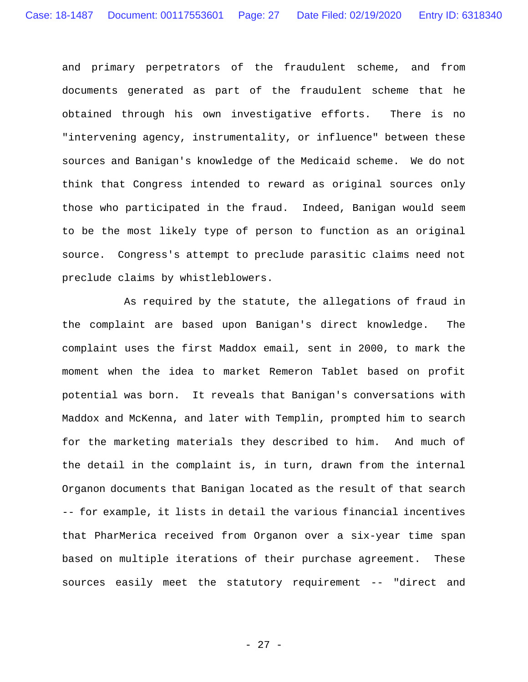and primary perpetrators of the fraudulent scheme, and from documents generated as part of the fraudulent scheme that he obtained through his own investigative efforts. There is no "intervening agency, instrumentality, or influence" between these sources and Banigan's knowledge of the Medicaid scheme. We do not think that Congress intended to reward as original sources only those who participated in the fraud. Indeed, Banigan would seem to be the most likely type of person to function as an original source. Congress's attempt to preclude parasitic claims need not preclude claims by whistleblowers.

As required by the statute, the allegations of fraud in the complaint are based upon Banigan's direct knowledge. The complaint uses the first Maddox email, sent in 2000, to mark the moment when the idea to market Remeron Tablet based on profit potential was born. It reveals that Banigan's conversations with Maddox and McKenna, and later with Templin, prompted him to search for the marketing materials they described to him. And much of the detail in the complaint is, in turn, drawn from the internal Organon documents that Banigan located as the result of that search -- for example, it lists in detail the various financial incentives that PharMerica received from Organon over a six-year time span based on multiple iterations of their purchase agreement. These sources easily meet the statutory requirement -- "direct and